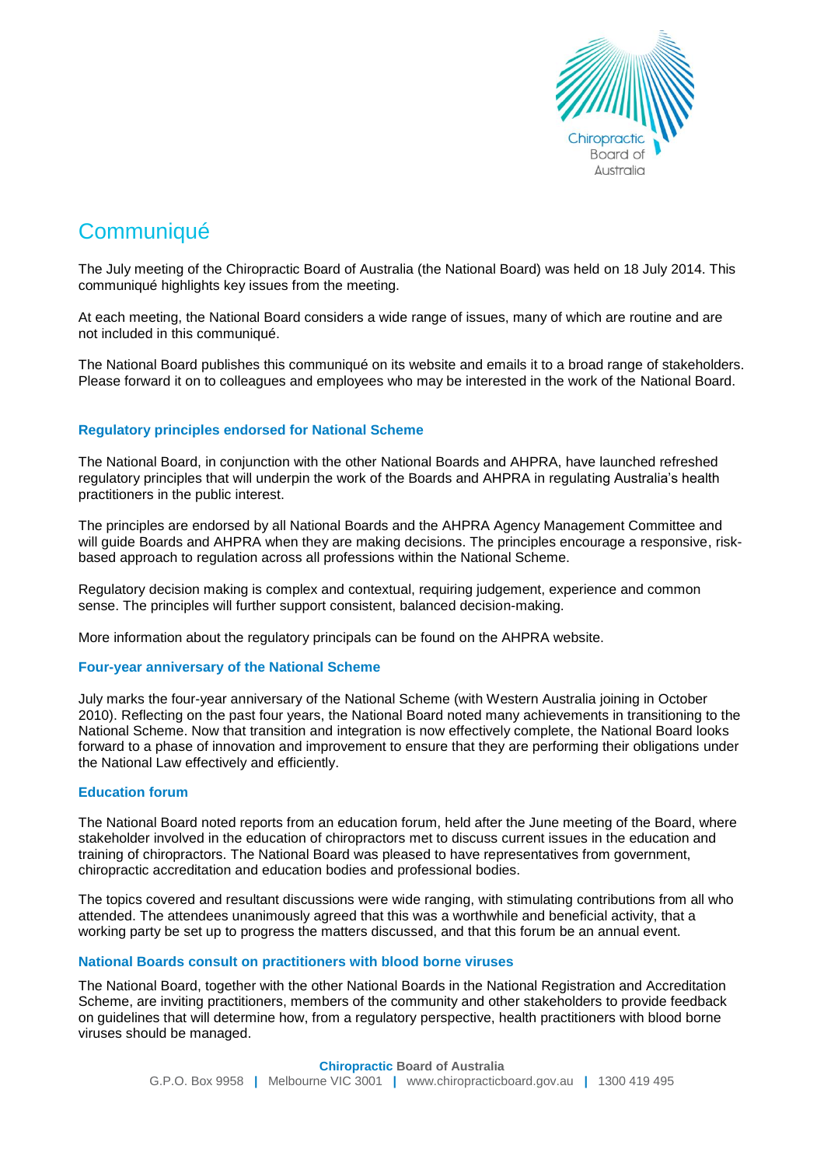

# **Communiqué**

The July meeting of the Chiropractic Board of Australia (the National Board) was held on 18 July 2014. This communiqué highlights key issues from the meeting.

At each meeting, the National Board considers a wide range of issues, many of which are routine and are not included in this communiqué.

The National Board publishes this communiqué on its website and emails it to a broad range of stakeholders. Please forward it on to colleagues and employees who may be interested in the work of the National Board.

## **Regulatory principles endorsed for National Scheme**

The National Board, in conjunction with the other National Boards and AHPRA, have launched refreshed regulatory principles that will underpin the work of the Boards and AHPRA in regulating Australia's health practitioners in the public interest.

The principles are endorsed by all National Boards and the AHPRA Agency Management Committee and will guide Boards and AHPRA when they are making decisions. The principles encourage a responsive, riskbased approach to regulation across all professions within the National Scheme.

Regulatory decision making is complex and contextual, requiring judgement, experience and common sense. The principles will further support consistent, balanced decision-making.

More information about the regulatory principals can be found on the AHPRA website.

## **Four-year anniversary of the National Scheme**

July marks the four-year anniversary of the National Scheme (with Western Australia joining in October 2010). Reflecting on the past four years, the National Board noted many achievements in transitioning to the National Scheme. Now that transition and integration is now effectively complete, the National Board looks forward to a phase of innovation and improvement to ensure that they are performing their obligations under the National Law effectively and efficiently.

## **Education forum**

The National Board noted reports from an education forum, held after the June meeting of the Board, where stakeholder involved in the education of chiropractors met to discuss current issues in the education and training of chiropractors. The National Board was pleased to have representatives from government, chiropractic accreditation and education bodies and professional bodies.

The topics covered and resultant discussions were wide ranging, with stimulating contributions from all who attended. The attendees unanimously agreed that this was a worthwhile and beneficial activity, that a working party be set up to progress the matters discussed, and that this forum be an annual event.

## **National Boards consult on practitioners with blood borne viruses**

The National Board, together with the other National Boards in the National Registration and Accreditation Scheme, are inviting practitioners, members of the community and other stakeholders to provide feedback on guidelines that will determine how, from a regulatory perspective, health practitioners with blood borne viruses should be managed.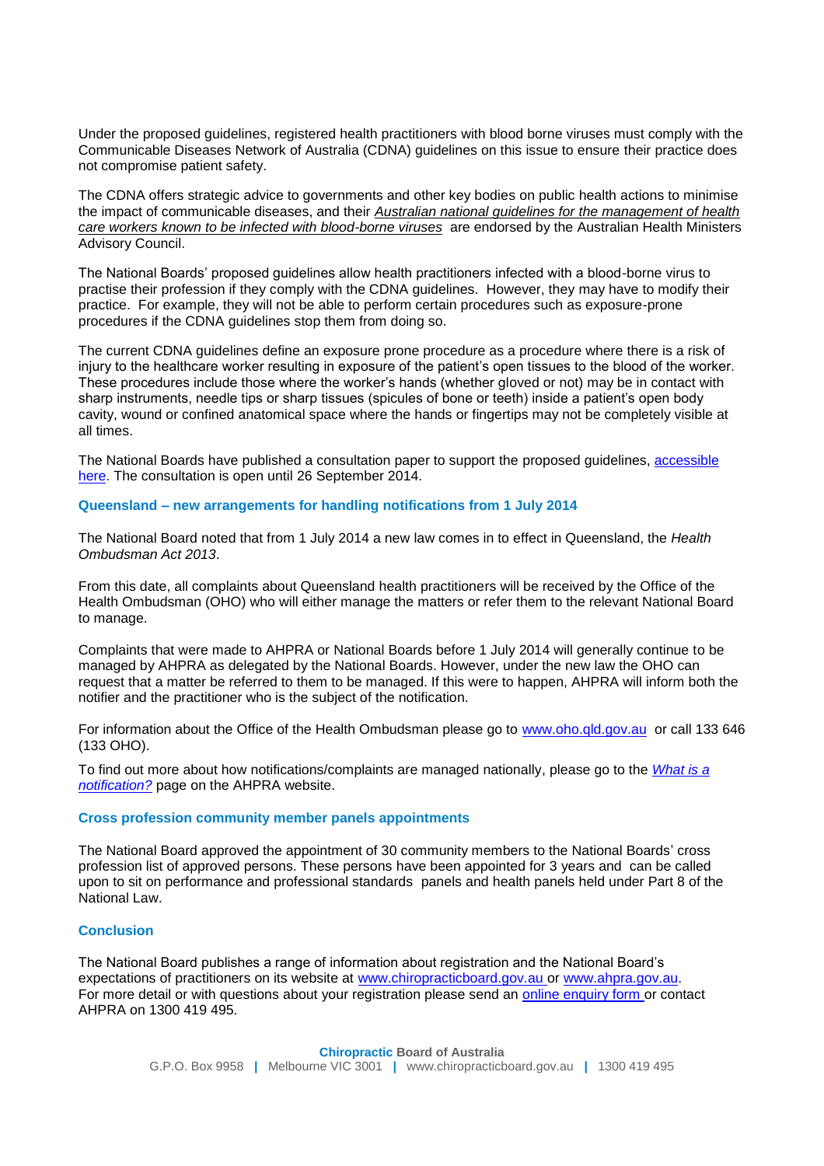Under the proposed guidelines, registered health practitioners with blood borne viruses must comply with the Communicable Diseases Network of Australia (CDNA) guidelines on this issue to ensure their practice does not compromise patient safety.

The CDNA offers strategic advice to governments and other key bodies on public health actions to minimise the impact of communicable diseases, and their *[Australian national guidelines for the management of health](http://www.health.gov.au/internet/main/publishing.nsf/Content/cda-cdna-bloodborne.htm)  [care workers known to be infected with blood-borne viruses](http://www.health.gov.au/internet/main/publishing.nsf/Content/cda-cdna-bloodborne.htm)* are endorsed by the Australian Health Ministers Advisory Council.

The National Boards' proposed guidelines allow health practitioners infected with a blood-borne virus to practise their profession if they comply with the CDNA guidelines. However, they may have to modify their practice. For example, they will not be able to perform certain procedures such as exposure-prone procedures if the CDNA guidelines stop them from doing so.

The current CDNA guidelines define an exposure prone procedure as a procedure where there is a risk of injury to the healthcare worker resulting in exposure of the patient's open tissues to the blood of the worker. These procedures include those where the worker's hands (whether gloved or not) may be in contact with sharp instruments, needle tips or sharp tissues (spicules of bone or teeth) inside a patient's open body cavity, wound or confined anatomical space where the hands or fingertips may not be completely visible at all times.

The National Boards have published a consultation paper to support the proposed guidelines, accessible [here.](http://www.chiropracticboard.gov.au/News/Current-consultations.aspx) The consultation is open until 26 September 2014.

## **Queensland – new arrangements for handling notifications from 1 July 2014**

The National Board noted that from 1 July 2014 a new law comes in to effect in Queensland, the *Health Ombudsman Act 2013*.

From this date, all complaints about Queensland health practitioners will be received by the Office of the Health Ombudsman (OHO) who will either manage the matters or refer them to the relevant National Board to manage.

Complaints that were made to AHPRA or National Boards before 1 July 2014 will generally continue to be managed by AHPRA as delegated by the National Boards. However, under the new law the OHO can request that a matter be referred to them to be managed. If this were to happen, AHPRA will inform both the notifier and the practitioner who is the subject of the notification.

For information about the Office of the Health Ombudsman please go to [www.oho.qld.gov.au](http://www.oho.qld.gov.au/) or call 133 646 (133 OHO).

To find out more about how notifications/complaints are managed nationally, please go to the *[What is a](http://www.ahpra.gov.au/Notifications/What-is-a-notification.aspx)  [notification?](http://www.ahpra.gov.au/Notifications/What-is-a-notification.aspx)* page on the AHPRA website.

#### **Cross profession community member panels appointments**

The National Board approved the appointment of 30 community members to the National Boards' cross profession list of approved persons. These persons have been appointed for 3 years and can be called upon to sit on performance and professional standards panels and health panels held under Part 8 of the National Law.

## **Conclusion**

The National Board publishes a range of information about registration and the National Board's expectations of practitioners on its website at www.chiropracticboard.gov.au or www.ahpra.gov.au. For more detail or with questions about your registration please send an online enquiry form or contact AHPRA on 1300 419 495.